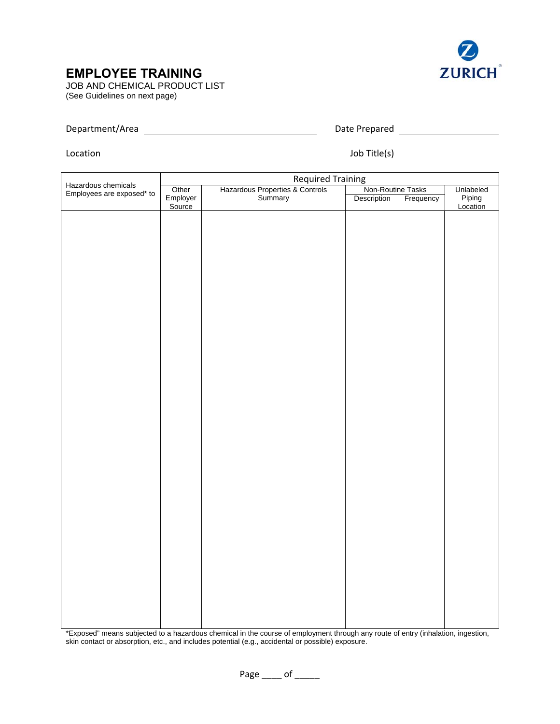## **EMPLOYEE TRAINING**



JOB AND CHEMICAL PRODUCT LIST (See Guidelines on next page)

## Department/Area Date Prepared

<u> 1980 - Johann Barn, mars an t-Amerikaansk politiker (</u>

Location

Job Title(s)

| Hazardous chemicals<br>Employees are exposed* to | <b>Required Training</b>                   |  |                   |           |                    |
|--------------------------------------------------|--------------------------------------------|--|-------------------|-----------|--------------------|
|                                                  | Hazardous Properties & Controls<br>Summary |  | Non-Routine Tasks |           | Unlabeled          |
|                                                  | Other<br>Employer<br>Source                |  | Description       | Frequency | Piping<br>Location |
|                                                  |                                            |  |                   |           |                    |
|                                                  |                                            |  |                   |           |                    |
|                                                  |                                            |  |                   |           |                    |
|                                                  |                                            |  |                   |           |                    |
|                                                  |                                            |  |                   |           |                    |
|                                                  |                                            |  |                   |           |                    |
|                                                  |                                            |  |                   |           |                    |
|                                                  |                                            |  |                   |           |                    |
|                                                  |                                            |  |                   |           |                    |
|                                                  |                                            |  |                   |           |                    |
|                                                  |                                            |  |                   |           |                    |
|                                                  |                                            |  |                   |           |                    |
|                                                  |                                            |  |                   |           |                    |
|                                                  |                                            |  |                   |           |                    |
|                                                  |                                            |  |                   |           |                    |
|                                                  |                                            |  |                   |           |                    |
|                                                  |                                            |  |                   |           |                    |
|                                                  |                                            |  |                   |           |                    |
|                                                  |                                            |  |                   |           |                    |
|                                                  |                                            |  |                   |           |                    |
|                                                  |                                            |  |                   |           |                    |
|                                                  |                                            |  |                   |           |                    |
|                                                  |                                            |  |                   |           |                    |
|                                                  |                                            |  |                   |           |                    |
|                                                  |                                            |  |                   |           |                    |
|                                                  |                                            |  |                   |           |                    |
|                                                  |                                            |  |                   |           |                    |
|                                                  |                                            |  |                   |           |                    |

\*Exposed" means subjected to a hazardous chemical in the course of employment through any route of entry (inhalation, ingestion, skin contact or absorption, etc., and includes potential (e.g., accidental or possible) exposure.

Page of